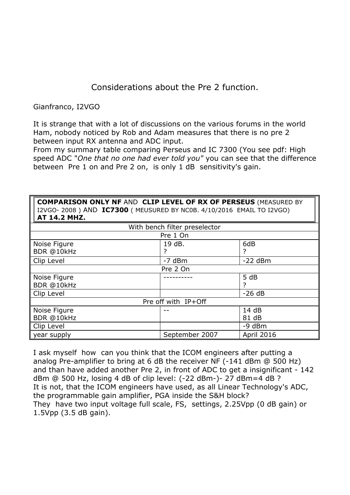## Considerations about the Pre 2 function.

Gianfranco, I2VGO

It is strange that with a lot of discussions on the various forums in the world Ham, nobody noticed by Rob and Adam measures that there is no pre 2 between input RX antenna and ADC input.

From my summary table comparing Perseus and IC 7300 (You see pdf: High speed ADC "*One that no one had ever told you"* you can see that the difference between Pre 1 on and Pre 2 on, is only 1 dB sensitivity's gain.

**COMPARISON ONLY NF** AND **CLIP LEVEL OF RX OF PERSEUS** (MEASURED BY I2VGO- 2008 ) AND **IC7300** ( MEUSURED BY NC0B. 4/10/2016 EMAIL TO I2VGO) **AT 14.2 MHZ.** 

| With bench filter preselector |                |                   |  |
|-------------------------------|----------------|-------------------|--|
| Pre 1 On                      |                |                   |  |
| Noise Figure                  | 19 dB.         | 6dB               |  |
| BDR @10kHz                    |                |                   |  |
| Clip Level                    | $-7$ dBm       | $-22$ dBm         |  |
| Pre 2 On                      |                |                   |  |
| Noise Figure                  |                | 5 dB              |  |
| BDR @10kHz                    |                | 7                 |  |
| Clip Level                    |                | $-26 dB$          |  |
| Pre off with IP+Off           |                |                   |  |
| Noise Figure                  |                | 14dB              |  |
| BDR @10kHz                    |                | 81 dB             |  |
| Clip Level                    |                | $-9$ dBm          |  |
| year supply                   | September 2007 | <b>April 2016</b> |  |

I ask myself how can you think that the ICOM engineers after putting a analog Pre-amplifier to bring at 6 dB the receiver NF (-141 dBm @ 500 Hz) and than have added another Pre 2, in front of ADC to get a insignificant - 142 dBm @ 500 Hz, losing 4 dB of clip level: (-22 dBm-)- 27 dBm=4 dB ? It is not, that the ICOM engineers have used, as all Linear Technology's ADC, the programmable gain amplifier, PGA inside the S&H block? They have two input voltage full scale, FS, settings, 2.25Vpp (0 dB gain) or 1.5Vpp (3.5 dB gain).